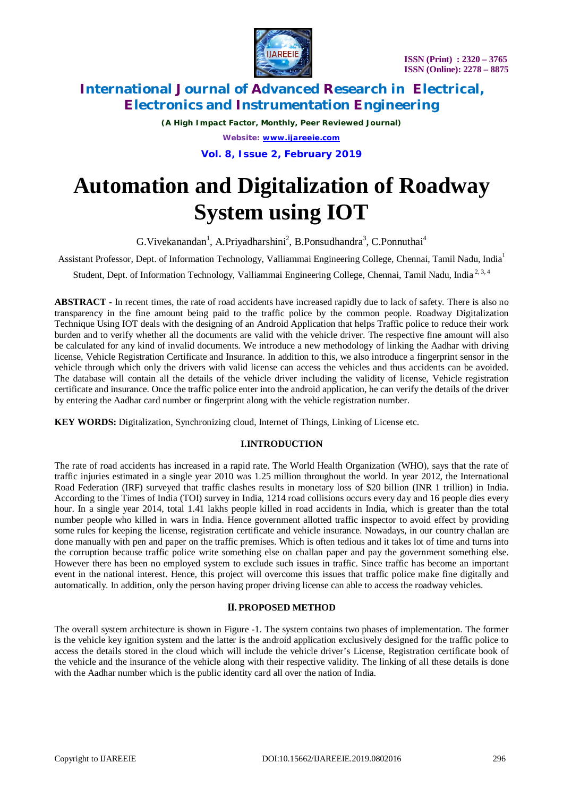

*(A High Impact Factor, Monthly, Peer Reviewed Journal) Website: [www.ijareeie.com](http://www.ijareeie.com)* **Vol. 8, Issue 2, February 2019**

# **Automation and Digitalization of Roadway System using IOT**

G. Vivekanandan<sup>1</sup>, A. Priyadharshini<sup>2</sup>, B. Ponsudhandra<sup>3</sup>, C. Ponnuthai<sup>4</sup>

Assistant Professor, Dept. of Information Technology, Valliammai Engineering College, Chennai, Tamil Nadu, India<sup>1</sup>

Student, Dept. of Information Technology, Valliammai Engineering College, Chennai, Tamil Nadu, India<sup>2, 3, 4</sup>

**ABSTRACT -** In recent times, the rate of road accidents have increased rapidly due to lack of safety. There is also no transparency in the fine amount being paid to the traffic police by the common people. Roadway Digitalization Technique Using IOT deals with the designing of an Android Application that helps Traffic police to reduce their work burden and to verify whether all the documents are valid with the vehicle driver. The respective fine amount will also be calculated for any kind of invalid documents. We introduce a new methodology of linking the Aadhar with driving license, Vehicle Registration Certificate and Insurance. In addition to this, we also introduce a fingerprint sensor in the vehicle through which only the drivers with valid license can access the vehicles and thus accidents can be avoided. The database will contain all the details of the vehicle driver including the validity of license, Vehicle registration certificate and insurance. Once the traffic police enter into the android application, he can verify the details of the driver by entering the Aadhar card number or fingerprint along with the vehicle registration number.

**KEY WORDS:** Digitalization, Synchronizing cloud, Internet of Things, Linking of License etc.

### **I.INTRODUCTION**

The rate of road accidents has increased in a rapid rate. The World Health Organization (WHO), says that the rate of traffic injuries estimated in a single year 2010 was 1.25 million throughout the world. In year 2012, the International Road Federation (IRF) surveyed that traffic clashes results in monetary loss of \$20 billion (INR 1 trillion) in India. According to the Times of India (TOI) survey in India, 1214 road collisions occurs every day and 16 people dies every hour. In a single year 2014, total 1.41 lakhs people killed in road accidents in India, which is greater than the total number people who killed in wars in India. Hence government allotted traffic inspector to avoid effect by providing some rules for keeping the license, registration certificate and vehicle insurance. Nowadays, in our country challan are done manually with pen and paper on the traffic premises. Which is often tedious and it takes lot of time and turns into the corruption because traffic police write something else on challan paper and pay the government something else. However there has been no employed system to exclude such issues in traffic. Since traffic has become an important event in the national interest. Hence, this project will overcome this issues that traffic police make fine digitally and automatically. In addition, only the person having proper driving license can able to access the roadway vehicles.

### **II. PROPOSED METHOD**

The overall system architecture is shown in Figure -1. The system contains two phases of implementation. The former is the vehicle key ignition system and the latter is the android application exclusively designed for the traffic police to access the details stored in the cloud which will include the vehicle driver's License, Registration certificate book of the vehicle and the insurance of the vehicle along with their respective validity. The linking of all these details is done with the Aadhar number which is the public identity card all over the nation of India.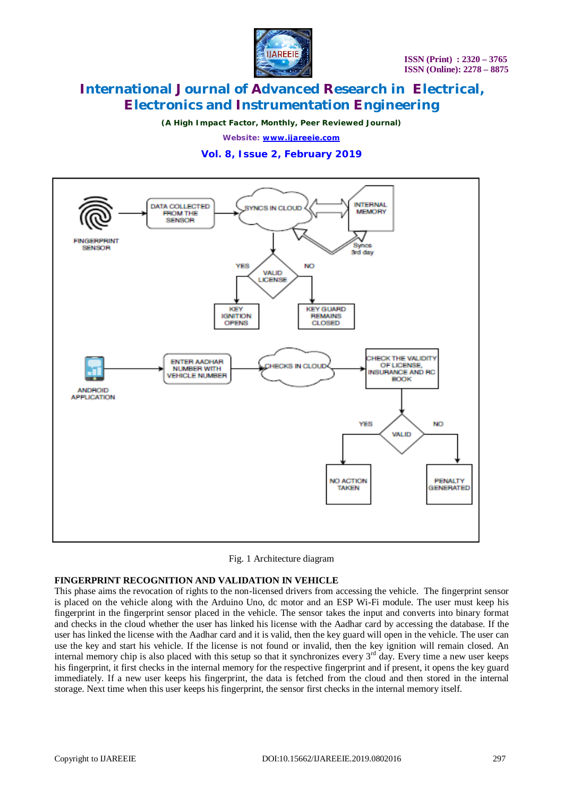

*(A High Impact Factor, Monthly, Peer Reviewed Journal)*

*Website: [www.ijareeie.com](http://www.ijareeie.com)*

**Vol. 8, Issue 2, February 2019**





#### **FINGERPRINT RECOGNITION AND VALIDATION IN VEHICLE**

This phase aims the revocation of rights to the non-licensed drivers from accessing the vehicle. The fingerprint sensor is placed on the vehicle along with the Arduino Uno, dc motor and an ESP Wi-Fi module. The user must keep his fingerprint in the fingerprint sensor placed in the vehicle. The sensor takes the input and converts into binary format and checks in the cloud whether the user has linked his license with the Aadhar card by accessing the database. If the user has linked the license with the Aadhar card and it is valid, then the key guard will open in the vehicle. The user can use the key and start his vehicle. If the license is not found or invalid, then the key ignition will remain closed. An internal memory chip is also placed with this setup so that it synchronizes every  $3<sup>rd</sup>$  day. Every time a new user keeps his fingerprint, it first checks in the internal memory for the respective fingerprint and if present, it opens the key guard immediately. If a new user keeps his fingerprint, the data is fetched from the cloud and then stored in the internal storage. Next time when this user keeps his fingerprint, the sensor first checks in the internal memory itself.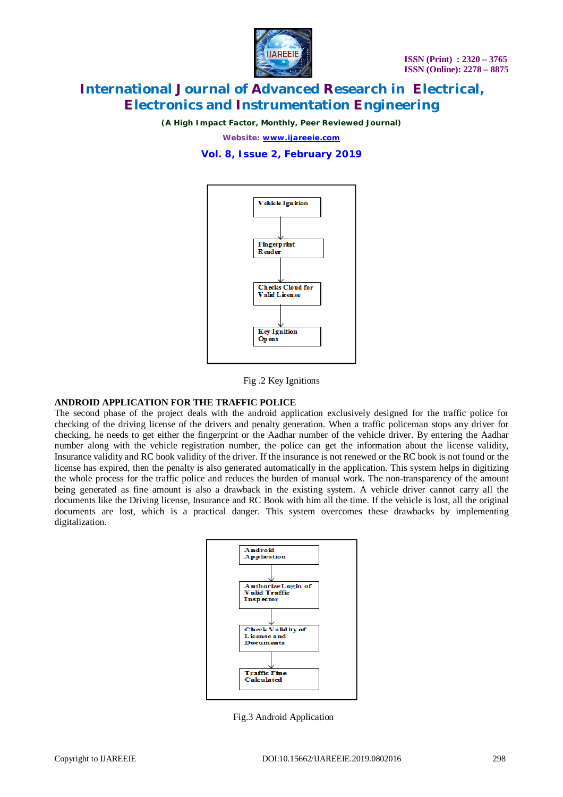

*(A High Impact Factor, Monthly, Peer Reviewed Journal)*

*Website: [www.ijareeie.com](http://www.ijareeie.com)*

**Vol. 8, Issue 2, February 2019**



Fig .2 Key Ignitions

#### **ANDROID APPLICATION FOR THE TRAFFIC POLICE**

The second phase of the project deals with the android application exclusively designed for the traffic police for checking of the driving license of the drivers and penalty generation. When a traffic policeman stops any driver for checking, he needs to get either the fingerprint or the Aadhar number of the vehicle driver. By entering the Aadhar number along with the vehicle registration number, the police can get the information about the license validity, Insurance validity and RC book validity of the driver. If the insurance is not renewed or the RC book is not found or the license has expired, then the penalty is also generated automatically in the application. This system helps in digitizing the whole process for the traffic police and reduces the burden of manual work. The non-transparency of the amount being generated as fine amount is also a drawback in the existing system. A vehicle driver cannot carry all the documents like the Driving license, Insurance and RC Book with him all the time. If the vehicle is lost, all the original documents are lost, which is a practical danger. This system overcomes these drawbacks by implementing digitalization.



Fig.3 Android Application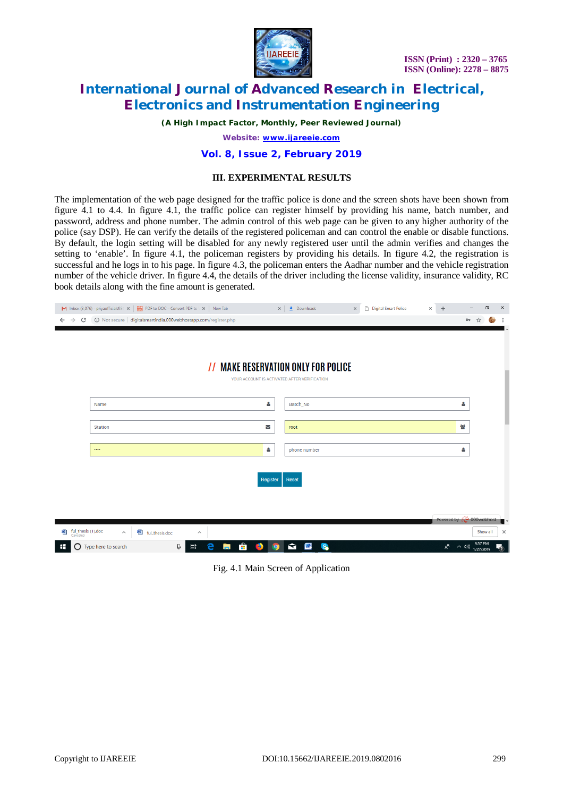

*(A High Impact Factor, Monthly, Peer Reviewed Journal)*

*Website: [www.ijareeie.com](http://www.ijareeie.com)*

#### **Vol. 8, Issue 2, February 2019**

#### **III. EXPERIMENTAL RESULTS**

The implementation of the web page designed for the traffic police is done and the screen shots have been shown from figure 4.1 to 4.4. In figure 4.1, the traffic police can register himself by providing his name, batch number, and password, address and phone number. The admin control of this web page can be given to any higher authority of the police (say DSP). He can verify the details of the registered policeman and can control the enable or disable functions. By default, the login setting will be disabled for any newly registered user until the admin verifies and changes the setting to 'enable'. In figure 4.1, the policeman registers by providing his details. In figure 4.2, the registration is successful and he logs in to his page. In figure 4.3, the policeman enters the Aadhar number and the vehicle registration number of the vehicle driver. In figure 4.4, the details of the driver including the license validity, insurance validity, RC book details along with the fine amount is generated.

| M Inbox (3,076) - priyaofficials98 ( $\times$   $\frac{100}{1000}$ PDF to DOC - Convert PDF to \ $\times$   New Tab |                                                                   | $\frac{1}{2}$ Downloads<br>$\times$               | Digital Smart Police<br>$\times$ | $\Box$<br>$\times$<br>$+$<br>$\times$                            |
|---------------------------------------------------------------------------------------------------------------------|-------------------------------------------------------------------|---------------------------------------------------|----------------------------------|------------------------------------------------------------------|
| $\rightarrow$<br>C<br>$\leftarrow$                                                                                  | 1 O Not secure   digitalsmartindia.000webhostapp.com/register.php |                                                   |                                  | 0 <sub>T</sub><br>☆                                              |
|                                                                                                                     |                                                                   |                                                   |                                  |                                                                  |
|                                                                                                                     |                                                                   |                                                   |                                  |                                                                  |
|                                                                                                                     |                                                                   | // MAKE RESERVATION ONLY FOR POLICE               |                                  |                                                                  |
|                                                                                                                     |                                                                   | YOUR ACCOUNT IS ACTIVATED AFTER VERIFICATION      |                                  |                                                                  |
|                                                                                                                     |                                                                   |                                                   |                                  |                                                                  |
| Name                                                                                                                |                                                                   | ۵<br>Batch_No                                     |                                  | ٥                                                                |
|                                                                                                                     |                                                                   |                                                   |                                  |                                                                  |
| <b>Station</b>                                                                                                      |                                                                   | ∨<br>root                                         |                                  | 答                                                                |
|                                                                                                                     |                                                                   |                                                   |                                  |                                                                  |
| $\cdots$                                                                                                            |                                                                   | δ<br>phone number                                 |                                  | δ                                                                |
|                                                                                                                     |                                                                   |                                                   |                                  |                                                                  |
|                                                                                                                     |                                                                   | Reset<br>Register                                 |                                  |                                                                  |
|                                                                                                                     |                                                                   |                                                   |                                  |                                                                  |
|                                                                                                                     |                                                                   |                                                   |                                  |                                                                  |
|                                                                                                                     |                                                                   |                                                   |                                  | Powered by <b>(C</b> 000webhost                                  |
| ful_thesis (1).doc<br>Canceled<br>画<br>画<br>ful_thesis.doc<br>$\wedge$                                              | $\wedge$                                                          |                                                   |                                  | Show all<br>$\times$                                             |
| $\bigcirc$ Type here to search<br>Œ                                                                                 | Ĥ<br>e<br>Q<br>耳<br>Ħ                                             | S.<br>W<br>$\blacksquare$<br><b>B</b><br><b>Q</b> |                                  | 9:57 PM<br>$R^{\mathsf{R}}$<br>围<br>$\wedge$ $\phi$<br>1/27/2019 |

Fig. 4.1 Main Screen of Application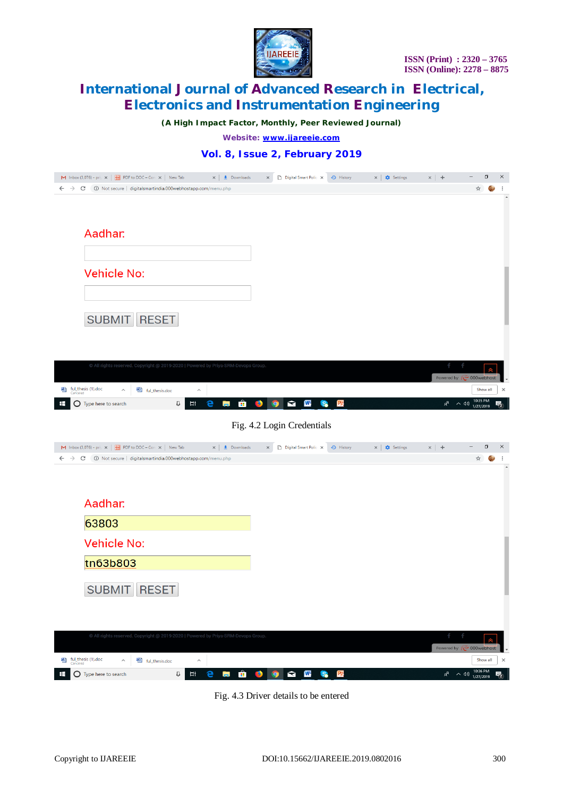

*(A High Impact Factor, Monthly, Peer Reviewed Journal)*

*Website: [www.ijareeie.com](http://www.ijareeie.com)*

### **Vol. 8, Issue 2, February 2019**

|                                                                                                |              | $\times$ $\frac{1}{2}$ Downloads | $\times$         | Digital Smart Polic X            | <b>4</b> History     | $\times$   $\bullet$ Settings | $\times$   +                 |                       | $\Box$   | $\times$         |
|------------------------------------------------------------------------------------------------|--------------|----------------------------------|------------------|----------------------------------|----------------------|-------------------------------|------------------------------|-----------------------|----------|------------------|
| 1 Not secure   digitalsmartindia.000webhostapp.com/menu.php<br>$\leftarrow$ $\rightarrow$<br>C |              |                                  |                  |                                  |                      |                               |                              | ☆                     |          | $\blacktriangle$ |
|                                                                                                |              |                                  |                  |                                  |                      |                               |                              |                       |          |                  |
|                                                                                                |              |                                  |                  |                                  |                      |                               |                              |                       |          |                  |
| Aadhar:                                                                                        |              |                                  |                  |                                  |                      |                               |                              |                       |          |                  |
|                                                                                                |              |                                  |                  |                                  |                      |                               |                              |                       |          |                  |
|                                                                                                |              |                                  |                  |                                  |                      |                               |                              |                       |          |                  |
| <b>Vehicle No:</b>                                                                             |              |                                  |                  |                                  |                      |                               |                              |                       |          |                  |
|                                                                                                |              |                                  |                  |                                  |                      |                               |                              |                       |          |                  |
|                                                                                                |              |                                  |                  |                                  |                      |                               |                              |                       |          |                  |
| <b>SUBMIT</b>                                                                                  | <b>RESET</b> |                                  |                  |                                  |                      |                               |                              |                       |          |                  |
|                                                                                                |              |                                  |                  |                                  |                      |                               |                              |                       |          |                  |
|                                                                                                |              |                                  |                  |                                  |                      |                               |                              |                       |          |                  |
| © All rights reserved. Copyright @ 2019-2020   Powered by Priya-SRM-Devops Group.              |              |                                  |                  |                                  |                      |                               |                              |                       |          |                  |
|                                                                                                |              |                                  |                  |                                  |                      |                               | Powered by $\sim$ 000webhost |                       |          |                  |
| ful_thesis (1).doc<br>Canceled<br>嚉<br><sup>图</sup> ful_thesis.doc<br>$\wedge$                 | $\wedge$     |                                  |                  |                                  |                      |                               |                              |                       | Show all | $\times$         |
| <b>O</b> Type here to search<br>Ŧ                                                              | Q<br>Ξi      | e<br>Ĥ<br><b>Contract</b>        | $\bullet$<br>-50 | $\blacksquare$<br>W <sub>1</sub> | P <sub>o</sub><br>S. |                               | $R^R$<br>へ (1)               | 10:35 PM<br>1/27/2019 |          | 物                |

Fig. 4.2 Login Credentials

| M Inbox (3,076) - pri $x \mid \frac{1000}{10000}$ PDF to DOC - Con $x \mid$ New Tab<br>$\times$ $\bullet$ Downloads | Digital Smart Polic X<br>$\times$         | <b>4</b> History     | $\times$<br>Settings | $\times$   +                 | $\Box$                | $\times$                 |
|---------------------------------------------------------------------------------------------------------------------|-------------------------------------------|----------------------|----------------------|------------------------------|-----------------------|--------------------------|
| 1 Not secure   digitalsmartindia.000webhostapp.com/menu.php<br>$\rightarrow$<br>C<br>$\leftarrow$                   |                                           |                      |                      |                              | ☆<br>$\frac{1}{2}$    |                          |
|                                                                                                                     |                                           |                      |                      |                              |                       | $\overline{\phantom{a}}$ |
|                                                                                                                     |                                           |                      |                      |                              |                       |                          |
| Aadhar:                                                                                                             |                                           |                      |                      |                              |                       |                          |
| 63803                                                                                                               |                                           |                      |                      |                              |                       |                          |
|                                                                                                                     |                                           |                      |                      |                              |                       |                          |
| <b>Vehicle No:</b>                                                                                                  |                                           |                      |                      |                              |                       |                          |
| tn63b803                                                                                                            |                                           |                      |                      |                              |                       |                          |
|                                                                                                                     |                                           |                      |                      |                              |                       |                          |
| <b>SUBMIT</b><br><b>RESET</b>                                                                                       |                                           |                      |                      |                              |                       |                          |
|                                                                                                                     |                                           |                      |                      |                              |                       |                          |
|                                                                                                                     |                                           |                      |                      |                              |                       |                          |
| © All rights reserved. Copyright @ 2019-2020   Powered by Priya-SRM-Devops Group.                                   |                                           |                      |                      |                              | $\hat{\mathbf{z}}$    |                          |
|                                                                                                                     |                                           |                      |                      | Powered by $\sim$ 000webhost |                       |                          |
| ful_thesis (1).doc<br>Canceled<br>國<br><sup>图</sup> ful_thesis.doc<br>$\widehat{\phantom{a}}$<br>$\wedge$           |                                           |                      |                      |                              | Show all              | $\times$                 |
| Ĥ<br>Q<br>Ξi<br>e<br><b>O</b> Type here to search<br>⊞<br>i.                                                        | W<br>$\mathbf{\Omega}$<br>-57<br><b>O</b> | P <sub>o</sub><br>S. |                      | $R^{\text{R}}$<br>へ (4)      | 10:36 PM<br>1/27/2019 | 喝                        |

Fig. 4.3 Driver details to be entered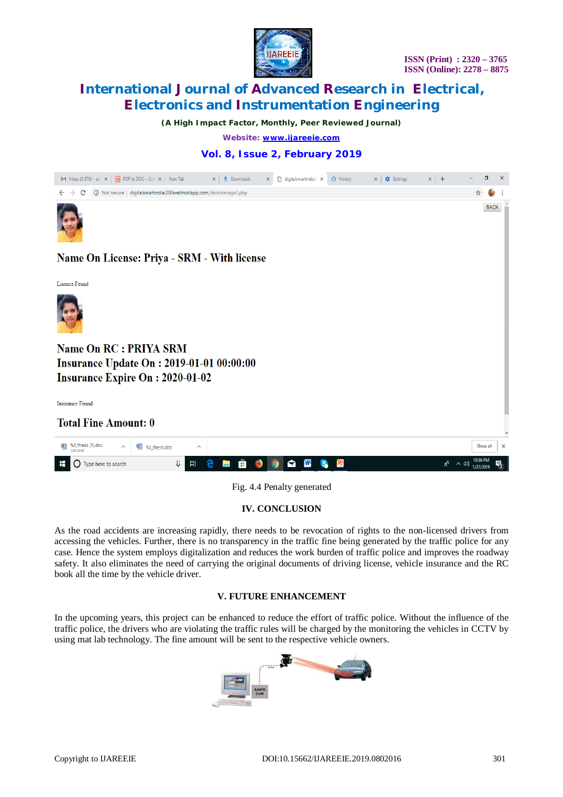

*(A High Impact Factor, Monthly, Peer Reviewed Journal)*

*Website: [www.ijareeie.com](http://www.ijareeie.com)*

### **Vol. 8, Issue 2, February 2019**



Fig. 4.4 Penalty generated

**IV. CONCLUSION**

As the road accidents are increasing rapidly, there needs to be revocation of rights to the non-licensed drivers from accessing the vehicles. Further, there is no transparency in the traffic fine being generated by the traffic police for any case. Hence the system employs digitalization and reduces the work burden of traffic police and improves the roadway safety. It also eliminates the need of carrying the original documents of driving license, vehicle insurance and the RC book all the time by the vehicle driver.

### **V. FUTURE ENHANCEMENT**

In the upcoming years, this project can be enhanced to reduce the effort of traffic police. Without the influence of the traffic police, the drivers who are violating the traffic rules will be charged by the monitoring the vehicles in CCTV by using mat lab technology. The fine amount will be sent to the respective vehicle owners.